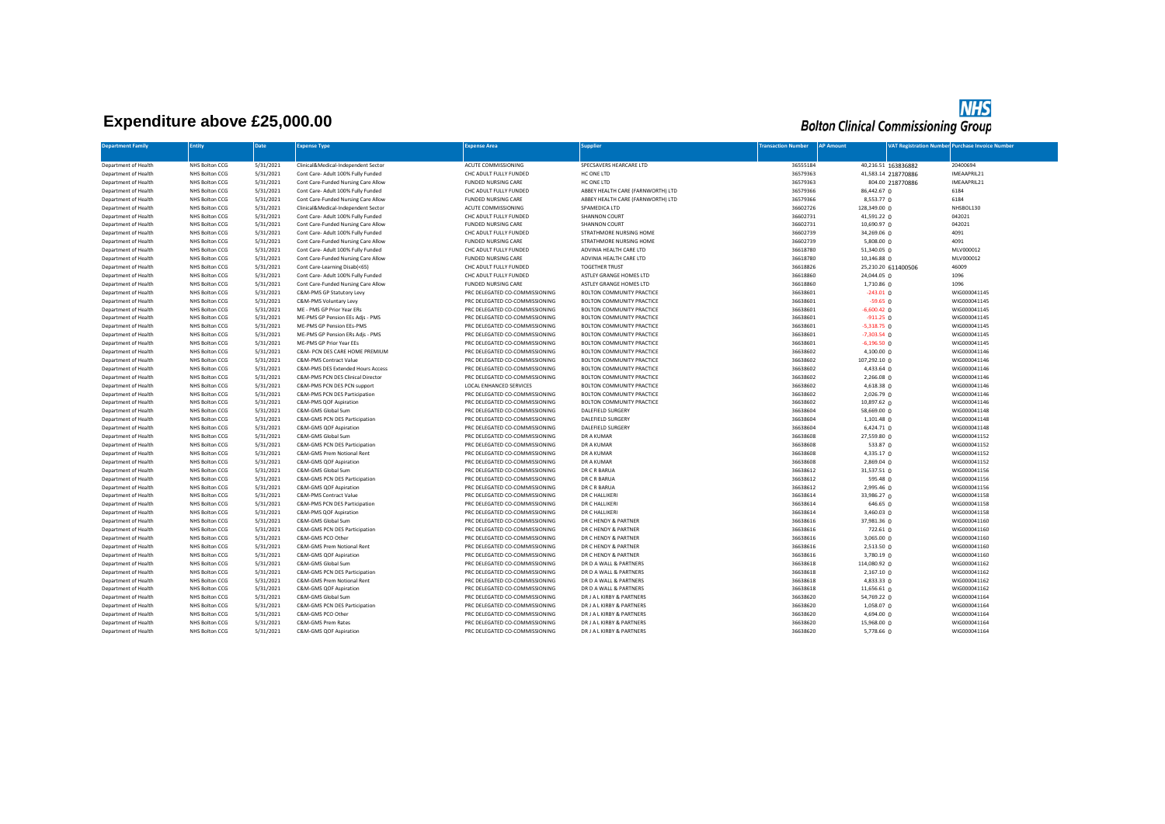## **Expenditure above £25,000.00**

## **NHS**<br>Bolton Clinical Commissioning Group

| <b>Department Family</b>                     | Entity                           | Date                   | <b>Expense Type</b>                                | <b>Expense Area</b>                                              | <b>Supplier</b>                                        | <b>Transaction Number</b> | <b>AP Amount</b>                 | <b>VAT Registration Number Purchase Invoice Number</b> |                              |
|----------------------------------------------|----------------------------------|------------------------|----------------------------------------------------|------------------------------------------------------------------|--------------------------------------------------------|---------------------------|----------------------------------|--------------------------------------------------------|------------------------------|
|                                              |                                  |                        |                                                    |                                                                  |                                                        |                           |                                  |                                                        |                              |
| Department of Health                         | NHS Bolton CCG                   | 5/31/2021              | Clinical&Medical-Independent Sector                | ACUTE COMMISSIONING                                              | SPECSAVERS HEARCARE LTD                                | 36555184                  |                                  | 40,216.51 163836882                                    | 20400694                     |
| Department of Health                         | NHS Bolton CCG                   | 5/31/2021              | Cont Care- Adult 100% Fully Funded                 | CHC ADULT FULLY FUNDED                                           | HC ONE LTD                                             | 36579363                  |                                  | 41,583.14 218770886                                    | IMEAAPRIL21                  |
| Department of Health                         | NHS Bolton CCG                   | 5/31/2021              | Cont Care-Funded Nursing Care Allow                | <b>FUNDED NURSING CARE</b>                                       | HC ONE LTD                                             | 36579363                  |                                  | 804.00 218770886                                       | IMEAAPRIL21                  |
| Department of Health                         | NHS Bolton CCG                   | 5/31/2021              | Cont Care- Adult 100% Fully Funded                 | CHC ADULT FULLY FUNDED                                           | ABBEY HEALTH CARE (FARNWORTH) LTD                      | 36579366                  | 86,442.67 0                      |                                                        | 6184                         |
| Department of Health                         | NHS Bolton CCG                   | 5/31/2021              | Cont Care-Funded Nursing Care Allow                | <b>FUNDED NURSING CARE</b>                                       | ABBEY HEALTH CARE (FARNWORTH) LTD                      | 36579366                  | 8,553.77 0                       |                                                        | 6184                         |
| Department of Health                         | NHS Bolton CCG                   | 5/31/2021              | Clinical&Medical-Independent Sector                | ACUTE COMMISSIONING                                              | SPAMEDICA LTD                                          | 36602726                  | 128,349.00 0                     |                                                        | NHSBOL130                    |
| Department of Health                         | NHS Bolton CCG                   | 5/31/2021              | Cont Care- Adult 100% Fully Funded                 | CHC ADULT FULLY FUNDED                                           | SHANNON COURT                                          | 36602731                  | 41,591.22 0                      |                                                        | 042021                       |
| Department of Health                         | NHS Bolton CCG                   | 5/31/2021              | Cont Care-Funded Nursing Care Allow                | <b>FUNDED NURSING CARE</b>                                       | SHANNON COURT                                          | 36602731                  | 10,690.97 0                      |                                                        | 042021                       |
| Department of Health                         | NHS Bolton CCG                   | 5/31/2021              | Cont Care- Adult 100% Fully Funded                 | CHC ADULT FULLY FUNDED                                           | STRATHMORE NURSING HOME                                | 36602739                  | 34,269.06 0                      |                                                        | 4091                         |
| Department of Health                         | NHS Bolton CCG                   | 5/31/2021              | Cont Care-Funded Nursing Care Allow                | <b>FUNDED NURSING CARE</b>                                       | STRATHMORE NURSING HOME                                | 36602739                  | 5,808.00 0                       |                                                        | 4091                         |
| Department of Health                         | NHS Bolton CCG                   | 5/31/2021              | Cont Care- Adult 100% Fully Funded                 | CHC ADULT FULLY FUNDED                                           | ADVINIA HEALTH CARE LTD                                | 36618780                  | $51,340.05$ 0                    |                                                        | MLV000012                    |
| Department of Health                         | NHS Bolton CCG                   | 5/31/2021              | Cont Care-Funded Nursing Care Allow                | <b>FUNDED NURSING CARE</b>                                       | ADVINIA HEALTH CARE LTD                                | 36618780                  | 10,146.88 0                      |                                                        | MLV000012                    |
| Department of Health                         | NHS Bolton CCG                   | 5/31/2021              | Cont Care-Learning Disab(<65)                      | CHC ADULT FULLY FUNDED                                           | <b>TOGETHER TRUST</b>                                  | 36618826                  |                                  | 25,210.20 611400506                                    | 46009                        |
| Department of Health                         | NHS Bolton CCG                   | 5/31/2021              | Cont Care- Adult 100% Fully Funded                 | CHC ADULT FULLY FUNDED                                           | ASTLEY GRANGE HOMES LTD                                | 36618860                  | 24,044.05 0                      |                                                        | 1096                         |
| Department of Health                         | NHS Bolton CCG                   | 5/31/2021              | Cont Care-Funded Nursing Care Allow                | <b>FUNDED NURSING CARE</b>                                       | ASTLEY GRANGE HOMES LTD                                | 36618860                  | $1,710.86$ 0                     |                                                        | 1096                         |
| Department of Health                         | NHS Bolton CCG                   | 5/31/2021              | C&M-PMS GP Statutory Levy                          | PRC DELEGATED CO-COMMISSIONING                                   | BOLTON COMMUNITY PRACTICE                              | 36638601                  | $-243.01$ 0                      |                                                        | WIG000041145                 |
| Department of Health                         | NHS Bolton CCG                   | 5/31/2021              | C&M-PMS Voluntary Levy                             | PRC DELEGATED CO-COMMISSIONING                                   | BOLTON COMMUNITY PRACTICE                              | 36638601                  | $-59.65$ 0                       |                                                        | WIG000041145                 |
| Department of Health                         | NHS Bolton CCG                   | 5/31/2021              | ME - PMS GP Prior Year ERs                         | PRC DELEGATED CO-COMMISSIONING                                   | <b>BOLTON COMMUNITY PRACTICE</b>                       | 36638601                  | $-6,600.42$ 0                    |                                                        | WIG000041145                 |
| Department of Health                         | NHS Bolton CCG                   | 5/31/2021              | ME-PMS GP Pension EEs Adjs - PMS                   | PRC DELEGATED CO-COMMISSIONING                                   | BOLTON COMMUNITY PRACTICE                              | 36638601                  | $-911.25$ 0                      |                                                        | WIG000041145                 |
| Department of Health                         | NHS Bolton CCG                   | 5/31/2021              | ME-PMS GP Pension EEs-PMS                          | PRC DELEGATED CO-COMMISSIONING                                   | BOLTON COMMUNITY PRACTICE                              | 36638601                  | $-5,318.75$ 0                    |                                                        | WIG000041145                 |
| Department of Health                         | NHS Bolton CCG                   | 5/31/2021              | ME-PMS GP Pension ERs Adjs - PMS                   | PRC DELEGATED CO-COMMISSIONING                                   | <b>BOLTON COMMUNITY PRACTICE</b>                       | 36638601                  | $-7,303.54$ 0                    |                                                        | WIG000041145                 |
| Department of Health                         | NHS Bolton CCG                   | 5/31/2021              | ME-PMS GP Prior Year EEs                           | PRC DELEGATED CO-COMMISSIONING                                   | BOLTON COMMUNITY PRACTICE                              | 36638601                  | $-6,196.50$ 0                    |                                                        | WIG000041145                 |
| Department of Health                         | NHS Bolton CCG                   | 5/31/2021              | C&M- PCN DES CARE HOME PREMIUM                     | PRC DELEGATED CO-COMMISSIONING                                   | BOLTON COMMUNITY PRACTICE                              | 36638602                  | $4,100.00$ 0                     |                                                        | WIG000041146                 |
| Department of Health                         | NHS Bolton CCG                   | 5/31/2021              | C&M-PMS Contract Value                             | PRC DELEGATED CO-COMMISSIONING                                   | BOLTON COMMUNITY PRACTICE                              | 36638602                  | 107,292.10 0                     |                                                        | WIG000041146                 |
| Department of Health                         | NHS Bolton CCG                   | 5/31/2021              | C&M-PMS DES Extended Hours Access                  | PRC DELEGATED CO-COMMISSIONING                                   | <b>BOLTON COMMUNITY PRACTICE</b>                       | 36638602                  | 4,433.64 0                       |                                                        | WIG000041146                 |
| Department of Health                         | NHS Bolton CCG                   | 5/31/2021              | C&M-PMS PCN DES Clinical Director                  | PRC DELEGATED CO-COMMISSIONING                                   | <b>BOLTON COMMUNITY PRACTICE</b>                       | 36638602                  | 2,266.08 0                       |                                                        | WIG000041146                 |
| Department of Health                         | NHS Bolton CCG                   | 5/31/2021              | C&M-PMS PCN DES PCN support                        | LOCAL ENHANCED SERVICES                                          | BOLTON COMMUNITY PRACTICE                              | 36638602                  | 4,618.38 0                       |                                                        | WIG000041146                 |
| Department of Health                         | NHS Bolton CCG                   | 5/31/2021              | C&M-PMS PCN DES Participation                      | PRC DELEGATED CO-COMMISSIONING                                   | BOLTON COMMUNITY PRACTICE                              | 36638602                  | 2,026.79 0                       |                                                        | WIG000041146                 |
| Department of Health                         | NHS Bolton CCG                   | 5/31/2021              | C&M-PMS QOF Aspiration                             | PRC DELEGATED CO-COMMISSIONING                                   | BOLTON COMMUNITY PRACTICE                              | 36638602                  | 10,897.62 0                      |                                                        | WIG000041146                 |
| Department of Health                         | NHS Bolton CCG                   | 5/31/2021              | C&M-GMS Global Sum                                 | PRC DELEGATED CO-COMMISSIONING                                   | <b>DALEFIELD SURGERY</b>                               | 36638604                  | 58,669.00 0                      |                                                        | WIG000041148                 |
| Department of Health                         | NHS Bolton CCG                   | 5/31/2021              | C&M-GMS PCN DES Participation                      | PRC DELEGATED CO-COMMISSIONING                                   | <b>DALEFIELD SURGERY</b>                               | 36638604                  | $1.101.48$ 0                     |                                                        | WIG000041148                 |
| Department of Health                         | NHS Bolton CCG                   | 5/31/2021              | C&M-GMS QOF Aspiration                             | PRC DELEGATED CO-COMMISSIONING                                   | <b>DALEFIELD SURGERY</b>                               | 36638604                  | $6,424.71$ 0                     |                                                        | WIG000041148                 |
| Department of Health                         | NHS Bolton CCG                   | 5/31/2021              | C&M-GMS Global Sum                                 | PRC DELEGATED CO-COMMISSIONING                                   | DR A KUMAR                                             | 36638608                  | 27,559.80 0                      |                                                        | WIG000041152                 |
| Department of Health                         | NHS Bolton CCG                   | 5/31/2021              | C&M-GMS PCN DES Participation                      | PRC DELEGATED CO-COMMISSIONING                                   | DR A KUMAR                                             | 36638608                  | 533.87 0                         |                                                        | WIG000041152                 |
| Department of Health                         | NHS Bolton CCG                   | 5/31/2021              | C&M-GMS Prem Notional Rent                         | PRC DELEGATED CO-COMMISSIONING                                   | DR A KUMAR                                             | 36638608                  | 4,335.17 0                       |                                                        | WIG000041152                 |
| Department of Health                         | NHS Bolton CCG                   | 5/31/2021              | C&M-GMS QOF Aspiration                             | PRC DELEGATED CO-COMMISSIONING                                   | DR A KUMAR                                             | 36638608                  | 2,869.04 0                       |                                                        | WIG000041152                 |
| Department of Health                         | NHS Bolton CCG                   | 5/31/2021              | C&M-GMS Global Sum                                 | PRC DELEGATED CO-COMMISSIONING                                   | DR C R BARUA                                           | 36638612                  | 31,537.51 0                      |                                                        | WIG000041156                 |
| Department of Health                         | NHS Bolton CCG                   | 5/31/2021              | C&M-GMS PCN DES Participation                      | PRC DELEGATED CO-COMMISSIONING                                   | DR C R BARUA                                           | 36638612                  | 595.48 $\Omega$                  |                                                        | WIG000041156                 |
| Department of Health                         | NHS Bolton CCG                   | 5/31/2021              | C&M-GMS QOF Aspiration                             | PRC DELEGATED CO-COMMISSIONING                                   | DR C R BARUA                                           | 36638612                  | $2,995.46$ 0                     |                                                        | WIG000041156                 |
| Department of Health                         | NHS Bolton CCG                   | 5/31/2021              | C&M-PMS Contract Value                             | PRC DELEGATED CO-COMMISSIONING                                   | DR C HALLIKERI                                         | 36638614                  | 33,986.27 0                      |                                                        | WIG000041158                 |
| Department of Health                         | NHS Bolton CCG                   | 5/31/2021              | C&M-PMS PCN DES Participation                      | PRC DELEGATED CO-COMMISSIONING                                   | DR C HALLIKERI                                         | 36638614                  | 646.65 0                         |                                                        | WIG000041158                 |
| Department of Health                         | NHS Bolton CCG                   | 5/31/2021              | C&M-PMS QOF Aspiration                             | PRC DELEGATED CO-COMMISSIONING                                   | DR C HALLIKERI                                         | 36638614                  | 3,460.03 0                       |                                                        | WIG000041158                 |
| Department of Health                         | NHS Bolton CCG                   | 5/31/2021              | C&M-GMS Global Sum                                 | PRC DELEGATED CO-COMMISSIONING                                   | DR C HENDY & PARTNER                                   | 36638616                  | 37,981.36 0                      |                                                        | WIG000041160                 |
| Department of Health                         | NHS Bolton CCG                   | 5/31/2021              | C&M-GMS PCN DES Participation                      | PRC DELEGATED CO-COMMISSIONING                                   | DR C HENDY & PARTNER                                   | 36638616                  | $722.61 \Omega$                  |                                                        | WIG000041160                 |
| Department of Health                         | NHS Bolton CCG                   | 5/31/2021              | C&M-GMS PCO Other                                  | PRC DELEGATED CO-COMMISSIONING                                   | DR C HENDY & PARTNER                                   | 36638616                  | $3,065.00$ 0                     |                                                        | WIG000041160                 |
| Department of Health                         | NHS Bolton CCG                   | 5/31/2021              | C&M-GMS Prem Notional Rent                         | PRC DELEGATED CO-COMMISSIONING                                   | DR C HENDY & PARTNER                                   | 36638616                  | 2,513.50 0                       |                                                        | WIG000041160                 |
| Department of Health                         | NHS Bolton CCG                   | 5/31/2021              | C&M-GMS QOF Aspiration                             | PRC DELEGATED CO-COMMISSIONING                                   | DR C HENDY & PARTNER                                   | 36638616                  | $3,780.19$ 0                     |                                                        | WIG000041160                 |
| Department of Health                         | NHS Bolton CCG                   | 5/31/2021              | C&M-GMS Global Sum                                 | PRC DELEGATED CO-COMMISSIONING                                   | DR D A WALL & PARTNERS                                 | 36638618                  | 114,080.92 0                     |                                                        | WIG000041162                 |
| Department of Health                         | NHS Bolton CCG                   | 5/31/2021              | C&M-GMS PCN DES Participation                      | PRC DELEGATED CO-COMMISSIONING                                   | DR D A WALL & PARTNERS                                 | 36638618                  | 2,167.10 0                       |                                                        | WIG000041162                 |
| Department of Health                         | NHS Bolton CCG                   | 5/31/2021              | C&M-GMS Prem Notional Rent                         | PRC DELEGATED CO-COMMISSIONING                                   | DR D A WALL & PARTNERS                                 | 36638618                  | $4,833.33$ 0                     |                                                        | WIG000041162                 |
| Department of Health                         | NHS Bolton CCG                   | 5/31/2021              | C&M-GMS QOF Aspiration                             | PRC DELEGATED CO-COMMISSIONING                                   | DR D A WALL & PARTNERS                                 | 36638618                  | $11,656.61$ 0                    |                                                        | WIG000041162                 |
| Department of Health                         | NHS Bolton CCG                   | 5/31/2021              | C&M-GMS Global Sum                                 | PRC DELEGATED CO-COMMISSIONING                                   | DR J A L KIRBY & PARTNERS                              | 36638620                  | 54,769.22 0                      |                                                        | WIG000041164                 |
| Department of Health<br>Department of Health | NHS Bolton CCG<br>NHS Bolton CCG | 5/31/2021<br>5/31/2021 | C&M-GMS PCN DES Participation<br>C&M-GMS PCO Other | PRC DELEGATED CO-COMMISSIONING<br>PRC DELEGATED CO-COMMISSIONING | DR J A L KIRBY & PARTNERS<br>DR J A L KIRBY & PARTNERS | 36638620<br>36638620      | 1,058.07 0                       |                                                        | WIG000041164<br>WIG000041164 |
|                                              |                                  |                        |                                                    |                                                                  |                                                        |                           | $4,694.00$ 0                     |                                                        |                              |
| Department of Health<br>Department of Health | NHS Bolton CCG<br>NHS Bolton CCG | 5/31/2021<br>5/31/2021 | C&M-GMS Prem Rates<br>C&M-GMS QOF Aspiration       | PRC DELEGATED CO-COMMISSIONING<br>PRC DELEGATED CO-COMMISSIONING | DR J A L KIRBY & PARTNERS<br>DR J A L KIRBY & PARTNERS | 36638620<br>36638620      | 15,968.00 0<br>5,778.66 $\Omega$ |                                                        | WIG000041164<br>WIG000041164 |
|                                              |                                  |                        |                                                    |                                                                  |                                                        |                           |                                  |                                                        |                              |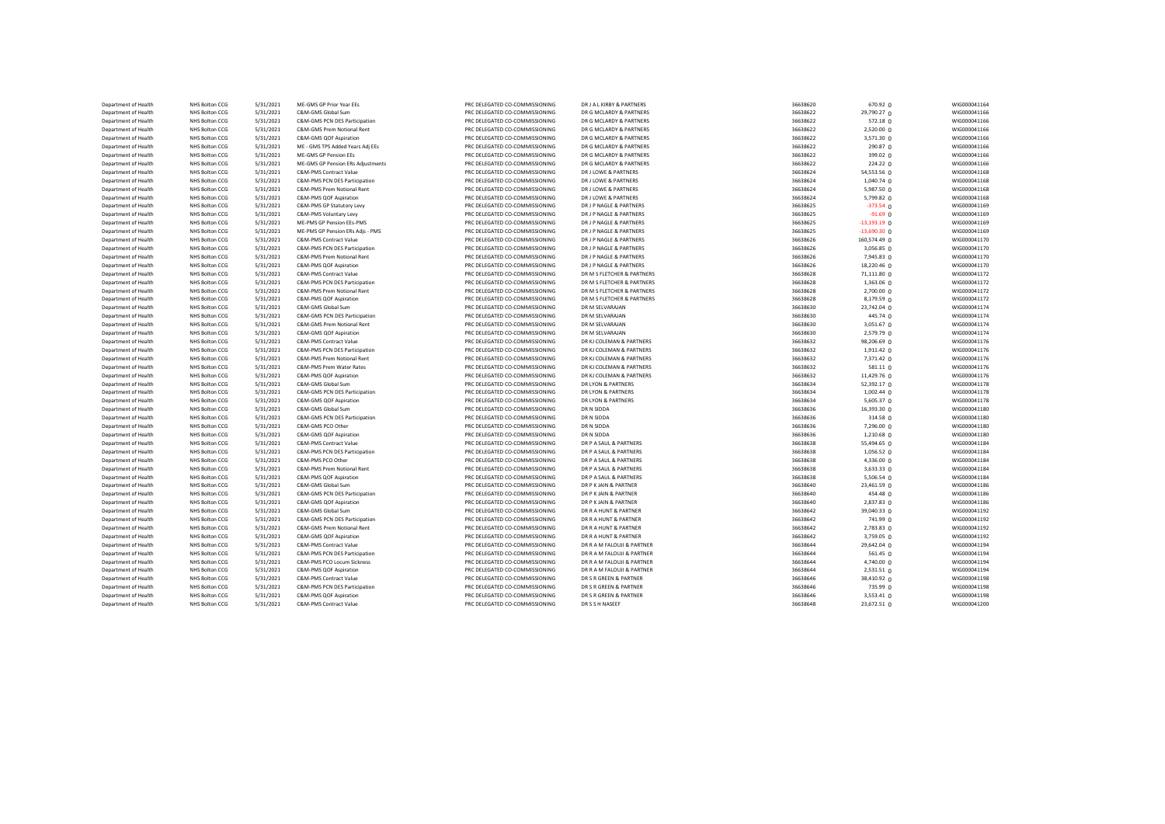| Department of Health | NHS Bolton CCG | 5/31/2021 | ME-GMS GP Prior Year EEs          | PRC DELEGATED CO-COMMISSIONING | DR J A L KIRBY & PARTNERS  | 36638620 | 670.92 <sub>0</sub> | WIG000041164 |
|----------------------|----------------|-----------|-----------------------------------|--------------------------------|----------------------------|----------|---------------------|--------------|
| Department of Health | NHS Bolton CCG | 5/31/2021 | C&M-GMS Global Sum                | PRC DELEGATED CO-COMMISSIONING | DR G MCLARDY & PARTNERS    | 36638622 | 29,790.27 0         | WIG000041166 |
| Department of Health | NHS Bolton CCG | 5/31/2021 | C&M-GMS PCN DES Participation     | PRC DELEGATED CO-COMMISSIONING | DR G MCLARDY & PARTNERS    | 36638622 | 572.18 0            | WIG000041166 |
| Department of Health | NHS Bolton CCG | 5/31/2021 | C&M-GMS Prem Notional Rent        | PRC DELEGATED CO-COMMISSIONING | DR G MCLARDY & PARTNERS    | 36638622 | $2,520.00$ 0        | WIG000041166 |
| Department of Health | NHS Bolton CCG | 5/31/2021 | C&M-GMS QOF Aspiration            | PRC DELEGATED CO-COMMISSIONING | DR G MCLARDY & PARTNERS    | 36638622 | 3,571.30 0          | WIG000041166 |
| Department of Health | NHS Bolton CCG | 5/31/2021 | ME - GMS TPS Added Years Adj EEs  | PRC DELEGATED CO-COMMISSIONING | DR G MCLARDY & PARTNERS    | 36638622 | 290.87 <sub>0</sub> | WIG000041166 |
| Department of Health | NHS Bolton CCG | 5/31/2021 | ME-GMS GP Pension EEs             | PRC DELEGATED CO-COMMISSIONING | DR G MCLARDY & PARTNERS    | 36638622 | 399.02 $\Omega$     | WIG000041166 |
| Department of Health | NHS Bolton CCG | 5/31/2021 | ME-GMS GP Pension ERs Adjustments | PRC DELEGATED CO-COMMISSIONING | DR G MCLARDY & PARTNERS    | 36638622 | 224.22 0            | WIG000041166 |
| Department of Health | NHS Bolton CCG | 5/31/2021 | C&M-PMS Contract Value            | PRC DELEGATED CO-COMMISSIONING | DR J LOWE & PARTNERS       | 36638624 | 54,553.56 0         | WIG000041168 |
| Department of Health | NHS Bolton CCG | 5/31/2021 | C&M-PMS PCN DES Participation     | PRC DELEGATED CO-COMMISSIONING | DR J LOWE & PARTNERS       | 36638624 | $1,040.74$ 0        | WIG000041168 |
| Department of Health | NHS Bolton CCG | 5/31/2021 | C&M-PMS Prem Notional Rent        | PRC DELEGATED CO-COMMISSIONING | DR J LOWE & PARTNERS       | 36638624 | 5,987.50 0          | WIG000041168 |
| Department of Health | NHS Bolton CCG | 5/31/2021 | C&M-PMS QOF Aspiration            | PRC DELEGATED CO-COMMISSIONING | DR J LOWE & PARTNERS       | 36638624 | 5,799.82 0          | WIG000041168 |
|                      | NHS Bolton CCG | 5/31/2021 |                                   | PRC DELEGATED CO-COMMISSIONING | DR J P NAGLE & PARTNERS    | 36638625 | $-373.54$ 0         | WIG000041169 |
| Department of Health |                |           | C&M-PMS GP Statutory Levy         |                                |                            |          |                     |              |
| Department of Health | NHS Bolton CCG | 5/31/2021 | C&M-PMS Voluntary Levy            | PRC DELEGATED CO-COMMISSIONING | DR J P NAGLE & PARTNERS    | 36638625 | $-91.69$ 0          | WIG000041169 |
| Department of Health | NHS Bolton CCG | 5/31/2021 | ME-PMS GP Pension EEs-PMS         | PRC DELEGATED CO-COMMISSIONING | DR J P NAGLE & PARTNERS    | 36638625 | $-13,193.19$ 0      | WIG000041169 |
| Department of Health | NHS Bolton CCG | 5/31/2021 | ME-PMS GP Pension ERs Adjs - PMS  | PRC DELEGATED CO-COMMISSIONING | DR J P NAGLE & PARTNERS    | 36638625 | $-13,690.30$ 0      | WIG000041169 |
| Department of Health | NHS Bolton CCG | 5/31/2021 | C&M-PMS Contract Value            | PRC DELEGATED CO-COMMISSIONING | DR J P NAGLE & PARTNERS    | 36638626 | 160,574.49 0        | WIG000041170 |
| Department of Health | NHS Bolton CCG | 5/31/2021 | C&M-PMS PCN DES Participation     | PRC DELEGATED CO-COMMISSIONING | DR J P NAGLE & PARTNERS    | 36638626 | 3,056.85 0          | WIG000041170 |
| Department of Health | NHS Bolton CCG | 5/31/2021 | C&M-PMS Prem Notional Rent        | PRC DELEGATED CO-COMMISSIONING | DR J P NAGLE & PARTNERS    | 36638626 | 7,945.83 0          | WIG000041170 |
| Department of Health | NHS Bolton CCG | 5/31/2021 | C&M-PMS QOF Aspiration            | PRC DELEGATED CO-COMMISSIONING | DR J P NAGLE & PARTNERS    | 36638626 | 18,220.46 0         | WIG000041170 |
| Department of Health | NHS Bolton CCG | 5/31/2021 | C&M-PMS Contract Value            | PRC DELEGATED CO-COMMISSIONING | DR M S FLETCHER & PARTNERS | 36638628 | 71,111.80 0         | WIG000041172 |
| Department of Health | NHS Bolton CCG | 5/31/2021 | C&M-PMS PCN DES Participation     | PRC DELEGATED CO-COMMISSIONING | DR M S FLETCHER & PARTNERS | 36638628 | $1,363.06$ 0        | WIG000041172 |
| Department of Health | NHS Bolton CCG | 5/31/2021 | C&M-PMS Prem Notional Rent        | PRC DELEGATED CO-COMMISSIONING | DR M S FLETCHER & PARTNERS | 36638628 | 2,700.00 0          | WIG000041172 |
| Department of Health | NHS Bolton CCG | 5/31/2021 | C&M-PMS QOF Aspiration            | PRC DELEGATED CO-COMMISSIONING | DR M S FLETCHER & PARTNERS | 36638628 | $8,179.59$ 0        | WIG000041172 |
| Department of Health | NHS Bolton CCG | 5/31/2021 | C&M-GMS Global Sum                | PRC DELEGATED CO-COMMISSIONING | DR M SELVARAJAN            | 36638630 | 23,742.04 0         | WIG000041174 |
| Department of Health | NHS Bolton CCG | 5/31/2021 | C&M-GMS PCN DES Participation     | PRC DELEGATED CO-COMMISSIONING | DR M SELVARAJAN            | 36638630 | 445.74 0            | WIG000041174 |
| Department of Health | NHS Bolton CCG | 5/31/2021 | C&M-GMS Prem Notional Rent        | PRC DELEGATED CO-COMMISSIONING | DR M SELVARAJAN            | 36638630 | 3,051.67 0          | WIG000041174 |
| Department of Health | NHS Bolton CCG | 5/31/2021 | C&M-GMS QOF Aspiration            | PRC DELEGATED CO-COMMISSIONING | DR M SELVARAJAN            | 36638630 | 2,579.79 0          | WIG000041174 |
| Department of Health | NHS Bolton CCG | 5/31/2021 | C&M-PMS Contract Value            | PRC DELEGATED CO-COMMISSIONING | DR KJ COLEMAN & PARTNERS   | 36638632 | 98,206.69 0         | WIG000041176 |
| Department of Health | NHS Bolton CCG | 5/31/2021 | C&M-PMS PCN DES Participation     | PRC DELEGATED CO-COMMISSIONING | DR KJ COLEMAN & PARTNERS   | 36638632 | 1,911.42 0          | WIG000041176 |
| Department of Health | NHS Bolton CCG | 5/31/2021 | C&M-PMS Prem Notional Rent        | PRC DELEGATED CO-COMMISSIONING | DR KJ COLEMAN & PARTNERS   | 36638632 | 7,371.42 0          | WIG000041176 |
| Department of Health | NHS Bolton CCG | 5/31/2021 | C&M-PMS Prem Water Rates          | PRC DELEGATED CO-COMMISSIONING | DR KJ COLEMAN & PARTNERS   | 36638632 | 581.11 0            | WIG000041176 |
| Department of Health | NHS Bolton CCG | 5/31/2021 | C&M-PMS QOF Aspiration            | PRC DELEGATED CO-COMMISSIONING | DR KJ COLEMAN & PARTNERS   | 36638632 | 11,429.76 0         | WIG000041176 |
| Department of Health | NHS Bolton CCG | 5/31/2021 | C&M-GMS Global Sum                | PRC DELEGATED CO-COMMISSIONING | DR LYON & PARTNERS         | 36638634 | 52,392.17 0         | WIG000041178 |
| Department of Health | NHS Bolton CCG | 5/31/2021 | C&M-GMS PCN DES Participation     | PRC DELEGATED CO-COMMISSIONING | DR LYON & PARTNERS         | 36638634 | 1,002.44 0          | WIG000041178 |
|                      |                |           |                                   |                                |                            |          |                     |              |
| Department of Health | NHS Bolton CCG | 5/31/2021 | C&M-GMS QOF Aspiration            | PRC DELEGATED CO-COMMISSIONING | DR LYON & PARTNERS         | 36638634 | 5,605.37 0          | WIG000041178 |
| Department of Health | NHS Bolton CCG | 5/31/2021 | C&M-GMS Global Sum                | PRC DELEGATED CO-COMMISSIONING | DR N SIDDA                 | 36638636 | 16,393.30 0         | WIG000041180 |
| Department of Health | NHS Bolton CCG | 5/31/2021 | C&M-GMS PCN DES Participation     | PRC DELEGATED CO-COMMISSIONING | DR N SIDDA                 | 36638636 | 314.58 0            | WIG000041180 |
| Department of Health | NHS Bolton CCG | 5/31/2021 | C&M-GMS PCO Other                 | PRC DELEGATED CO-COMMISSIONING | DR N SIDDA                 | 36638636 | 7,296.00 0          | WIG000041180 |
| Department of Health | NHS Bolton CCG | 5/31/2021 | C&M-GMS QOF Aspiration            | PRC DELEGATED CO-COMMISSIONING | DR N SIDDA                 | 36638636 | $1,210.68$ 0        | WIG000041180 |
| Department of Health | NHS Bolton CCG | 5/31/2021 | C&M-PMS Contract Value            | PRC DELEGATED CO-COMMISSIONING | DR P A SAUL & PARTNERS     | 36638638 | 55,494.65 0         | WIG000041184 |
| Department of Health | NHS Bolton CCG | 5/31/2021 | C&M-PMS PCN DES Participation     | PRC DELEGATED CO-COMMISSIONING | DR P A SAUL & PARTNERS     | 36638638 | 1,056.52 0          | WIG000041184 |
| Department of Health | NHS Bolton CCG | 5/31/2021 | C&M-PMS PCO Other                 | PRC DELEGATED CO-COMMISSIONING | DR P A SAUL & PARTNERS     | 36638638 | $4,336.00$ 0        | WIG000041184 |
| Department of Health | NHS Bolton CCG | 5/31/2021 | C&M-PMS Prem Notional Rent        | PRC DELEGATED CO-COMMISSIONING | DR P A SAUL & PARTNERS     | 36638638 | 3,633.33 0          | WIG000041184 |
| Department of Health | NHS Bolton CCG | 5/31/2021 | C&M-PMS QOF Aspiration            | PRC DELEGATED CO-COMMISSIONING | DR P A SAUL & PARTNERS     | 36638638 | 5,506.54 0          | WIG000041184 |
| Department of Health | NHS Bolton CCG | 5/31/2021 | C&M-GMS Global Sum                | PRC DELEGATED CO-COMMISSIONING | DR P K JAIN & PARTNER      | 36638640 | 23,461.59 0         | WIG000041186 |
| Department of Health | NHS Bolton CCG | 5/31/2021 | C&M-GMS PCN DES Participation     | PRC DELEGATED CO-COMMISSIONING | DR P K JAIN & PARTNER      | 36638640 | 454.48 0            | WIG000041186 |
| Department of Health | NHS Bolton CCG | 5/31/2021 | C&M-GMS QOF Aspiration            | PRC DELEGATED CO-COMMISSIONING | DR P K JAIN & PARTNER      | 36638640 | 2,837.83 0          | WIG000041186 |
| Department of Health | NHS Bolton CCG | 5/31/2021 | C&M-GMS Global Sum                | PRC DELEGATED CO-COMMISSIONING | DR R A HUNT & PARTNER      | 36638642 | 39,040.33 0         | WIG000041192 |
| Department of Health | NHS Bolton CCG | 5/31/2021 | C&M-GMS PCN DES Participation     | PRC DELEGATED CO-COMMISSIONING | DR R A HUNT & PARTNER      | 36638642 | 741.99 0            | WIG000041192 |
| Department of Health | NHS Bolton CCG | 5/31/2021 | C&M-GMS Prem Notional Rent        | PRC DELEGATED CO-COMMISSIONING | DR R A HUNT & PARTNER      | 36638642 | 2,783.83 0          | WIG000041192 |
| Department of Health | NHS Bolton CCG | 5/31/2021 | C&M-GMS QOF Aspiration            | PRC DELEGATED CO-COMMISSIONING | DR R A HUNT & PARTNER      | 36638642 | 3,759.05 0          | WIG000041192 |
| Department of Health | NHS Bolton CCG | 5/31/2021 | C&M-PMS Contract Value            | PRC DELEGATED CO-COMMISSIONING | DR R A M FALOUJI & PARTNER | 36638644 | 29,642.04 0         | WIG000041194 |
| Department of Health | NHS Bolton CCG | 5/31/2021 | C&M-PMS PCN DES Participation     | PRC DELEGATED CO-COMMISSIONING | DR R A M FALOUJI & PARTNER | 36638644 | 561.45 0            | WIG000041194 |
| Department of Health | NHS Bolton CCG | 5/31/2021 | C&M-PMS PCO Locum Sickness        | PRC DELEGATED CO-COMMISSIONING | DR R A M FALOUJI & PARTNER | 36638644 | $4,740.00$ 0        | WIG000041194 |
| Department of Health | NHS Bolton CCG | 5/31/2021 | C&M-PMS QOF Aspiration            | PRC DELEGATED CO-COMMISSIONING | DR R A M FALOUJI & PARTNER | 36638644 | $2,531.51$ 0        | WIG000041194 |
| Department of Health | NHS Bolton CCG | 5/31/2021 | C&M-PMS Contract Value            | PRC DELEGATED CO-COMMISSIONING | DR S R GREEN & PARTNER     | 36638646 | 38,410.92 0         | WIG000041198 |
| Department of Health | NHS Bolton CCG | 5/31/2021 | C&M-PMS PCN DES Participation     | PRC DELEGATED CO-COMMISSIONING | DR S R GREEN & PARTNER     | 36638646 | 735.99 0            | WIG000041198 |
| Department of Health | NHS Bolton CCG |           | C&M-PMS QOF Aspiration            | PRC DELEGATED CO-COMMISSIONING | DR S R GREEN & PARTNER     | 36638646 |                     | WIG000041198 |
|                      | NHS Bolton CCG | 5/31/2021 | C&M-PMS Contract Value            | PRC DELEGATED CO-COMMISSIONING | DR S S H NASEEF            | 36638648 | 3,553.41 0          |              |
| Department of Health |                | 5/31/2021 |                                   |                                |                            |          | 23,672.51 0         | WIG000041200 |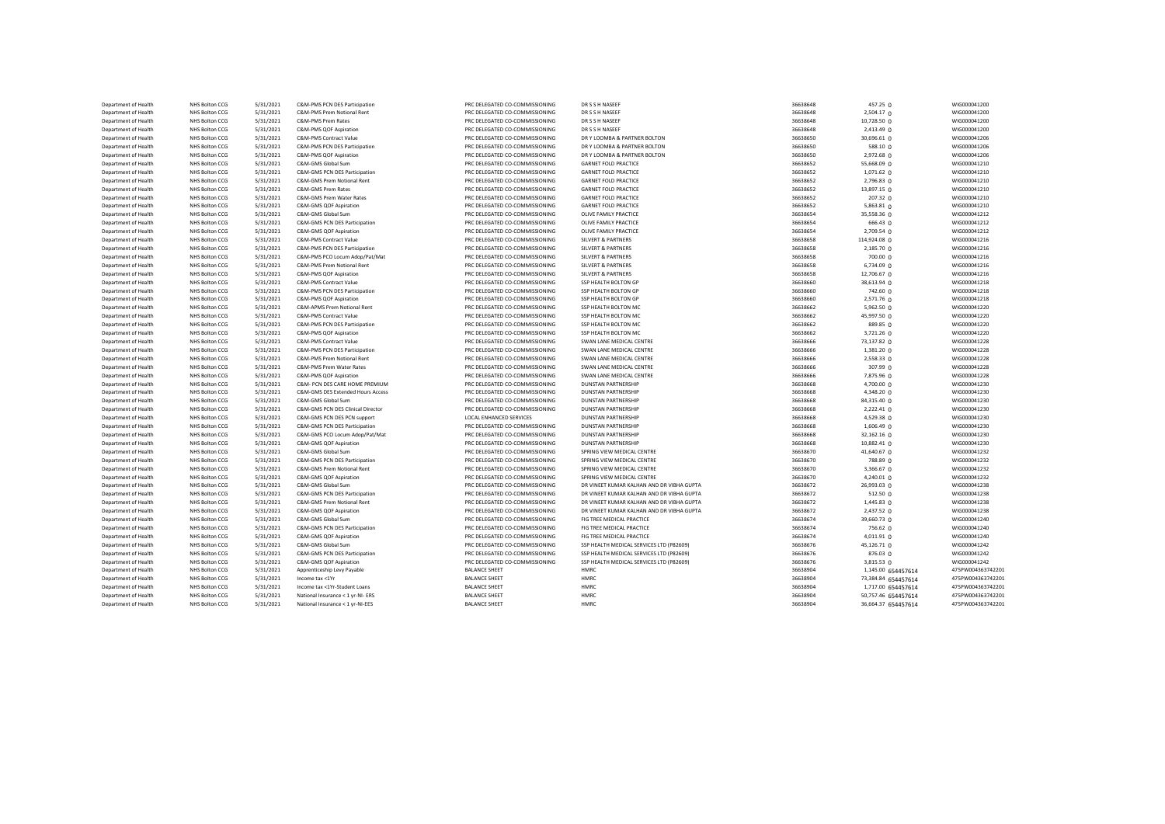| Department of Health | NHS Bolton CCG | 5/31/2021 | C&M-PMS PCN DES Participation     | PRC DELEGATED CO-COMMISSIONING | DR S S H NASEEF                           | 36638648 | 457.25 $0$          | WIG000041200      |
|----------------------|----------------|-----------|-----------------------------------|--------------------------------|-------------------------------------------|----------|---------------------|-------------------|
| Department of Health | NHS Bolton CCG | 5/31/2021 | C&M-PMS Prem Notional Rent        | PRC DELEGATED CO-COMMISSIONING | DR S S H NASEEF                           | 36638648 | 2,504.17 0          | WIG000041200      |
| Department of Health | NHS Bolton CCG | 5/31/2021 | C&M-PMS Prem Rates                | PRC DELEGATED CO-COMMISSIONING | DR S S H NASEEF                           | 36638648 | 10,728.50 0         | WIG000041200      |
| Department of Health | NHS Bolton CCG | 5/31/2021 | C&M-PMS QOF Aspiration            | PRC DELEGATED CO-COMMISSIONING | DR S S H NASEEF                           | 36638648 | $2,413.49$ 0        | WIG000041200      |
| Department of Health | NHS Bolton CCG | 5/31/2021 | C&M-PMS Contract Value            | PRC DELEGATED CO-COMMISSIONING | DR Y LOOMBA & PARTNER BOLTON              | 36638650 | 30,696.61 0         | WIG000041206      |
| Department of Health | NHS Bolton CCG | 5/31/2021 | C&M-PMS PCN DES Participation     | PRC DELEGATED CO-COMMISSIONING | DR Y LOOMBA & PARTNER BOLTON              | 36638650 | 588.10 $\Omega$     | WIG000041206      |
| Department of Health | NHS Bolton CCG | 5/31/2021 | C&M-PMS QOF Aspiration            | PRC DELEGATED CO-COMMISSIONING | DR Y LOOMBA & PARTNER BOLTON              | 36638650 | 2,972.68 0          | WIG000041206      |
| Department of Health | NHS Bolton CCG | 5/31/2021 | C&M-GMS Global Sum                | PRC DELEGATED CO-COMMISSIONING | <b>GARNET FOLD PRACTICE</b>               | 36638652 | 55,668.09 0         | WIG000041210      |
| Department of Health | NHS Bolton CCG | 5/31/2021 | C&M-GMS PCN DES Participation     | PRC DELEGATED CO-COMMISSIONING | <b>GARNET FOLD PRACTICE</b>               | 36638652 | $1,071.62$ 0        | WIG000041210      |
|                      |                |           |                                   |                                |                                           |          |                     |                   |
| Department of Health | NHS Bolton CCG | 5/31/2021 | C&M-GMS Prem Notional Rent        | PRC DELEGATED CO-COMMISSIONING | <b>GARNET FOLD PRACTICE</b>               | 36638652 | 2,796.83 0          | WIG000041210      |
| Department of Health | NHS Bolton CCG | 5/31/2021 | C&M-GMS Prem Rates                | PRC DELEGATED CO-COMMISSIONING | <b>GARNET FOLD PRACTICE</b>               | 36638652 | 13,897.15 0         | WIG000041210      |
| Department of Health | NHS Bolton CCG | 5/31/2021 | C&M-GMS Prem Water Rates          | PRC DELEGATED CO-COMMISSIONING | <b>GARNET FOLD PRACTICE</b>               | 36638652 | 207.32 0            | WIG000041210      |
| Department of Health | NHS Bolton CCG | 5/31/2021 | C&M-GMS QOF Aspiration            | PRC DELEGATED CO-COMMISSIONING | <b>GARNET FOLD PRACTICE</b>               | 36638652 | $5,863.81$ 0        | WIG000041210      |
| Department of Health | NHS Bolton CCG | 5/31/2021 | C&M-GMS Global Sum                | PRC DELEGATED CO-COMMISSIONING | OLIVE FAMILY PRACTICE                     | 36638654 | 35,558.36 0         | WIG000041212      |
| Department of Health | NHS Bolton CCG | 5/31/2021 | C&M-GMS PCN DES Participation     | PRC DELEGATED CO-COMMISSIONING | OLIVE FAMILY PRACTICE                     | 36638654 | 666.43 0            | WIG000041212      |
| Department of Health | NHS Bolton CCG | 5/31/2021 | C&M-GMS QOF Aspiration            | PRC DELEGATED CO-COMMISSIONING | OLIVE FAMILY PRACTICE                     | 36638654 | 2,709.54 0          | WIG000041212      |
| Department of Health | NHS Bolton CCG | 5/31/2021 | C&M-PMS Contract Value            | PRC DELEGATED CO-COMMISSIONING | <b>SILVERT &amp; PARTNERS</b>             | 36638658 | 114,924.08 0        | WIG000041216      |
| Department of Health | NHS Bolton CCG | 5/31/2021 | C&M-PMS PCN DES Participation     | PRC DELEGATED CO-COMMISSIONING | <b>SILVERT &amp; PARTNERS</b>             | 36638658 | 2,185.70 0          | WIG000041216      |
| Department of Health | NHS Bolton CCG | 5/31/2021 | C&M-PMS PCO Locum Adop/Pat/Mat    | PRC DELEGATED CO-COMMISSIONING | SILVERT & PARTNERS                        | 36638658 | $700.00 \Omega$     | WIG000041216      |
| Department of Health | NHS Bolton CCG | 5/31/2021 | C&M-PMS Prem Notional Rent        | PRC DELEGATED CO-COMMISSIONING | <b>SILVERT &amp; PARTNERS</b>             | 36638658 | 6,734.09 0          | WIG000041216      |
| Department of Health | NHS Bolton CCG | 5/31/2021 | C&M-PMS QOF Aspiration            | PRC DELEGATED CO-COMMISSIONING | SILVERT & PARTNERS                        | 36638658 | 12,706.67 0         | WIG000041216      |
| Department of Health | NHS Bolton CCG | 5/31/2021 | C&M-PMS Contract Value            | PRC DELEGATED CO-COMMISSIONING | SSP HEALTH BOLTON GP                      | 36638660 | 38,613.94 0         | WIG000041218      |
| Department of Health | NHS Bolton CCG | 5/31/2021 | C&M-PMS PCN DES Participation     | PRC DELEGATED CO-COMMISSIONING | SSP HEALTH BOLTON GP                      | 36638660 | 742.60 0            | WIG000041218      |
| Department of Health | NHS Bolton CCG | 5/31/2021 | C&M-PMS QOF Aspiration            | PRC DELEGATED CO-COMMISSIONING | SSP HEALTH BOLTON GP                      | 36638660 | 2,571.76 0          | WIG000041218      |
| Department of Health | NHS Bolton CCG | 5/31/2021 | C&M-APMS Prem Notional Rent       | PRC DELEGATED CO-COMMISSIONING | SSP HEALTH BOLTON MC                      | 36638662 | $5,962.50$ 0        | WIG000041220      |
|                      |                |           |                                   |                                |                                           |          |                     |                   |
| Department of Health | NHS Bolton CCG | 5/31/2021 | C&M-PMS Contract Value            | PRC DELEGATED CO-COMMISSIONING | SSP HEALTH BOLTON MC                      | 36638662 | 45,997.50 0         | WIG000041220      |
| Department of Health | NHS Bolton CCG | 5/31/2021 | C&M-PMS PCN DES Participation     | PRC DELEGATED CO-COMMISSIONING | SSP HEALTH BOLTON MC                      | 36638662 | 889.85 0            | WIG000041220      |
| Department of Health | NHS Bolton CCG | 5/31/2021 | C&M-PMS QOF Aspiration            | PRC DELEGATED CO-COMMISSIONING | SSP HEALTH BOLTON MC                      | 36638662 | 3,721.26 0          | WIG000041220      |
| Department of Health | NHS Bolton CCG | 5/31/2021 | C&M-PMS Contract Value            | PRC DELEGATED CO-COMMISSIONING | SWAN LANE MEDICAL CENTRE                  | 36638666 | 73,137.82 0         | WIG000041228      |
| Department of Health | NHS Bolton CCG | 5/31/2021 | C&M-PMS PCN DES Participation     | PRC DELEGATED CO-COMMISSIONING | SWAN LANE MEDICAL CENTRE                  | 36638666 | 1,381.20 0          | WIG000041228      |
| Department of Health | NHS Bolton CCG | 5/31/2021 | C&M-PMS Prem Notional Rent        | PRC DELEGATED CO-COMMISSIONING | SWAN LANE MEDICAL CENTRE                  | 36638666 | 2,558.33 0          | WIG000041228      |
| Department of Health | NHS Bolton CCG | 5/31/2021 | C&M-PMS Prem Water Rates          | PRC DELEGATED CO-COMMISSIONING | SWAN LANE MEDICAL CENTRE                  | 36638666 | 307.99 0            | WIG000041228      |
| Department of Health | NHS Bolton CCG | 5/31/2021 | C&M-PMS QOF Aspiration            | PRC DELEGATED CO-COMMISSIONING | SWAN LANE MEDICAL CENTRE                  | 36638666 | 7,875.96 0          | WIG000041228      |
| Department of Health | NHS Bolton CCG | 5/31/2021 | C&M- PCN DES CARE HOME PREMIUM    | PRC DELEGATED CO-COMMISSIONING | <b>DUNSTAN PARTNERSHIP</b>                | 36638668 | 4,700.00 0          | WIG000041230      |
| Department of Health | NHS Bolton CCG | 5/31/2021 | C&M-GMS DES Extended Hours Access | PRC DELEGATED CO-COMMISSIONING | <b>DUNSTAN PARTNERSHIP</b>                | 36638668 | 4,348.20 0          | WIG000041230      |
| Department of Health | NHS Bolton CCG | 5/31/2021 | C&M-GMS Global Sum                | PRC DELEGATED CO-COMMISSIONING | <b>DUNSTAN PARTNERSHIP</b>                | 36638668 | 84,315.40 0         | WIG000041230      |
| Department of Health | NHS Bolton CCG | 5/31/2021 | C&M-GMS PCN DES Clinical Director | PRC DELEGATED CO-COMMISSIONING | <b>DUNSTAN PARTNERSHIP</b>                | 36638668 | $2,222.41$ 0        | WIG000041230      |
| Department of Health | NHS Bolton CCG | 5/31/2021 | C&M-GMS PCN DES PCN support       | LOCAL ENHANCED SERVICES        | <b>DUNSTAN PARTNERSHIP</b>                | 36638668 | 4,529.38 0          | WIG000041230      |
| Department of Health | NHS Bolton CCG | 5/31/2021 | C&M-GMS PCN DES Participation     | PRC DELEGATED CO-COMMISSIONING | <b>DUNSTAN PARTNERSHIP</b>                | 36638668 | 1,606.49 0          | WIG000041230      |
| Department of Health | NHS Bolton CCG | 5/31/2021 | C&M-GMS PCO Locum Adop/Pat/Mat    | PRC DELEGATED CO-COMMISSIONING | <b>DUNSTAN PARTNERSHIP</b>                | 36638668 | 32,162.16 0         | WIG000041230      |
| Department of Health | NHS Bolton CCG | 5/31/2021 | C&M-GMS QOF Aspiration            | PRC DELEGATED CO-COMMISSIONING | <b>DUNSTAN PARTNERSHIP</b>                | 36638668 | 10,882.41 0         | WIG000041230      |
| Department of Health | NHS Bolton CCG | 5/31/2021 | C&M-GMS Global Sum                | PRC DELEGATED CO-COMMISSIONING | SPRING VIEW MEDICAL CENTRE                | 36638670 | 41,640.67 0         | WIG000041232      |
| Department of Health | NHS Bolton CCG | 5/31/2021 | C&M-GMS PCN DES Participation     | PRC DELEGATED CO-COMMISSIONING | SPRING VIEW MEDICAL CENTRE                | 36638670 | 788.89 0            | WIG000041232      |
|                      |                |           |                                   |                                |                                           |          |                     |                   |
| Department of Health | NHS Bolton CCG | 5/31/2021 | C&M-GMS Prem Notional Rent        | PRC DELEGATED CO-COMMISSIONING | SPRING VIEW MEDICAL CENTRE                | 36638670 | 3,366.67 0          | WIG000041232      |
| Department of Health | NHS Bolton CCG | 5/31/2021 | C&M-GMS QOF Aspiration            | PRC DELEGATED CO-COMMISSIONING | SPRING VIEW MEDICAL CENTRE                | 36638670 | 4,240.01 0          | WIG000041232      |
| Department of Health | NHS Bolton CCG | 5/31/2021 | C&M-GMS Global Sum                | PRC DELEGATED CO-COMMISSIONING | DR VINEET KUMAR KALHAN AND DR VIBHA GUPTA | 36638672 | 26,993.03 0         | WIG000041238      |
| Department of Health | NHS Bolton CCG | 5/31/2021 | C&M-GMS PCN DES Participation     | PRC DELEGATED CO-COMMISSIONING | DR VINEET KUMAR KALHAN AND DR VIBHA GUPTA | 36638672 | 512.50 0            | WIG000041238      |
| Department of Health | NHS Bolton CCG | 5/31/2021 | C&M-GMS Prem Notional Rent        | PRC DELEGATED CO-COMMISSIONING | DR VINEET KUMAR KALHAN AND DR VIBHA GUPTA | 36638672 | 1,445.83 0          | WIG000041238      |
| Department of Health | NHS Bolton CCG | 5/31/2021 | C&M-GMS QOF Aspiration            | PRC DELEGATED CO-COMMISSIONING | DR VINEET KUMAR KALHAN AND DR VIBHA GUPTA | 36638672 | 2,437.52 0          | WIG000041238      |
| Department of Health | NHS Bolton CCG | 5/31/2021 | C&M-GMS Global Sum                | PRC DELEGATED CO-COMMISSIONING | FIG TREE MEDICAL PRACTICE                 | 36638674 | 39,660.73 0         | WIG000041240      |
| Department of Health | NHS Bolton CCG | 5/31/2021 | C&M-GMS PCN DES Participation     | PRC DELEGATED CO-COMMISSIONING | FIG TREE MEDICAL PRACTICE                 | 36638674 | 756.62 0            | WIG000041240      |
| Department of Health | NHS Bolton CCG | 5/31/2021 | C&M-GMS QOF Aspiration            | PRC DELEGATED CO-COMMISSIONING | FIG TREE MEDICAL PRACTICE                 | 36638674 | $4,011.91$ 0        | WIG000041240      |
| Department of Health | NHS Bolton CCG | 5/31/2021 | C&M-GMS Global Sum                | PRC DELEGATED CO-COMMISSIONING | SSP HEALTH MEDICAL SERVICES LTD (P82609)  | 36638676 | 45,126.71 0         | WIG000041242      |
| Department of Health | NHS Bolton CCG | 5/31/2021 | C&M-GMS PCN DES Participation     | PRC DELEGATED CO-COMMISSIONING | SSP HEALTH MEDICAL SERVICES LTD (P82609)  | 36638676 | 876.03 0            | WIG000041242      |
| Department of Health | NHS Bolton CCG | 5/31/2021 | C&M-GMS QOF Aspiration            | PRC DELEGATED CO-COMMISSIONING | SSP HEALTH MEDICAL SERVICES LTD (P82609)  | 36638676 | $3,815.53$ 0        | WIG000041242      |
| Department of Health | NHS Bolton CCG | 5/31/2021 | Apprenticeship Levy Payable       | <b>BALANCE SHEET</b>           | HMRC                                      | 36638904 | 1,145.00 654457614  | 475PW004363742201 |
| Department of Health | NHS Bolton CCG | 5/31/2021 | Income tax <1Yr                   | <b>BALANCE SHEET</b>           | HMRC                                      | 36638904 | 73,384.84 654457614 | 475PW004363742201 |
| Department of Health | NHS Bolton CCG | 5/31/2021 | Income tax <1Yr-Student Loans     | <b>BALANCE SHEET</b>           | HMRC                                      | 36638904 |                     | 475PW004363742201 |
|                      |                |           |                                   |                                |                                           |          | 1,717.00 654457614  |                   |
| Department of Health | NHS Bolton CCG | 5/31/2021 | National Insurance < 1 vr-NI- ERS | <b>BALANCE SHEET</b>           | HMRC                                      | 36638904 | 50,757.46 654457614 | 475PW004363742201 |
| Department of Health | NHS Bolton CCG | 5/31/2021 | National Insurance < 1 yr-NI-EES  | <b>BALANCE SHEET</b>           | HMRC                                      | 36638904 | 36,664.37 654457614 | 475PW004363742201 |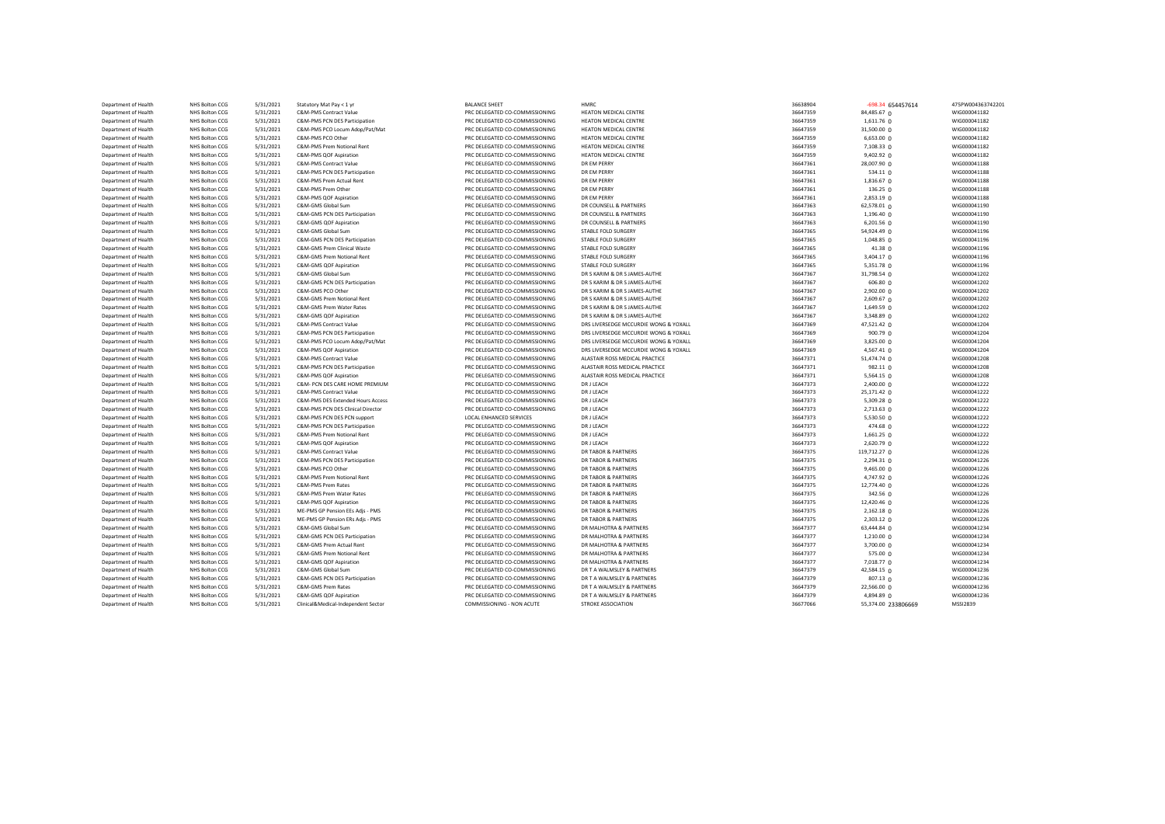| Department of Health | NHS Bolton CCG | 5/31/2021              | Statutory Mat Pay < 1 yr                                     | <b>BALANCE SHEET</b>           | <b>HMRC</b>                           | 36638904             | -698.34 654457614     | 475PW004363742201            |
|----------------------|----------------|------------------------|--------------------------------------------------------------|--------------------------------|---------------------------------------|----------------------|-----------------------|------------------------------|
| Department of Health | NHS Bolton CCG | 5/31/2021              | C&M-PMS Contract Value                                       | PRC DELEGATED CO-COMMISSIONING | HEATON MEDICAL CENTRE                 | 36647359             | 84,485.67 0           | WIG000041182                 |
| Department of Health | NHS Bolton CCG | 5/31/2021              | C&M-PMS PCN DES Participation                                | PRC DELEGATED CO-COMMISSIONING | HEATON MEDICAL CENTRE                 | 36647359             | 1,611.76 0            | WIG000041182                 |
| Department of Health | NHS Bolton CCG | 5/31/2021              | C&M-PMS PCO Locum Adop/Pat/Mat                               | PRC DELEGATED CO-COMMISSIONING | HEATON MEDICAL CENTRE                 | 36647359             | 31,500.00 0           | WIG000041182                 |
| Department of Health | NHS Bolton CCG | 5/31/2021              | C&M-PMS PCO Other                                            | PRC DELEGATED CO-COMMISSIONING | HEATON MEDICAL CENTRE                 | 36647359             | 6,653.00 0            | WIG000041182                 |
| Department of Health | NHS Bolton CCG | 5/31/2021              | C&M-PMS Prem Notional Rent                                   | PRC DELEGATED CO-COMMISSIONING | HEATON MEDICAL CENTRE                 | 36647359             | $7,108.33$ 0          | WIG000041182                 |
| Department of Health | NHS Bolton CCG | 5/31/2021              | C&M-PMS QOF Aspiration                                       | PRC DELEGATED CO-COMMISSIONING | HEATON MEDICAL CENTRE                 | 36647359             | 9,402.92 0            | WIG000041182                 |
| Department of Health | NHS Bolton CCG | 5/31/2021              | C&M-PMS Contract Value                                       | PRC DELEGATED CO-COMMISSIONING | DR EM PERRY                           | 36647361             | 28,007.90 0           | WIG000041188                 |
| Department of Health | NHS Bolton CCG | 5/31/2021              | C&M-PMS PCN DES Participation                                | PRC DELEGATED CO-COMMISSIONING | DR EM PERRY                           | 36647361             | $534.11$ 0            | WIG000041188                 |
| Department of Health | NHS Bolton CCG | 5/31/2021              | C&M-PMS Prem Actual Rent                                     | PRC DELEGATED CO-COMMISSIONING | DR EM PERRY                           | 36647361             | $1,816.67$ 0          | WIG000041188                 |
| Department of Health | NHS Bolton CCG | 5/31/2021              | C&M-PMS Prem Other                                           | PRC DELEGATED CO-COMMISSIONING | DR EM PERRY                           | 36647361             | 136.25 0              | WIG000041188                 |
| Department of Health | NHS Bolton CCG | 5/31/2021              | C&M-PMS QOF Aspiration                                       | PRC DELEGATED CO-COMMISSIONING | DR EM PERRY                           | 36647361             | 2,853.19 0            | WIG000041188                 |
| Department of Health | NHS Bolton CCG | 5/31/2021              | C&M-GMS Global Sum                                           | PRC DELEGATED CO-COMMISSIONING | DR COUNSELL & PARTNERS                | 36647363             | 62,578.01 0           | WIG000041190                 |
| Department of Health | NHS Bolton CCG | 5/31/2021              | C&M-GMS PCN DES Participation                                | PRC DELEGATED CO-COMMISSIONING | DR COUNSELL & PARTNERS                | 36647363             | 1,196.40 0            | WIG000041190                 |
| Department of Health | NHS Bolton CCG | 5/31/2021              | C&M-GMS QOF Aspiration                                       | PRC DELEGATED CO-COMMISSIONING | DR COUNSELL & PARTNERS                | 36647363             | 6,201.56 0            | WIG000041190                 |
| Department of Health | NHS Bolton CCG | 5/31/2021              | C&M-GMS Global Sum                                           | PRC DELEGATED CO-COMMISSIONING | STABLE FOLD SURGERY                   | 36647365             | 54,924.49 0           | WIG000041196                 |
|                      | NHS Bolton CCG |                        |                                                              | PRC DELEGATED CO-COMMISSIONING | STABLE FOLD SURGERY                   |                      |                       |                              |
| Department of Health |                | 5/31/2021<br>5/31/2021 | C&M-GMS PCN DES Participation<br>C&M-GMS Prem Clinical Waste |                                |                                       | 36647365<br>36647365 | 1,048.85 0<br>41.38 0 | WIG000041196<br>WIG000041196 |
| Department of Health | NHS Bolton CCG |                        | C&M-GMS Prem Notional Rent                                   | PRC DELEGATED CO-COMMISSIONING | STABLE FOLD SURGERY                   |                      |                       |                              |
| Department of Health | NHS Bolton CCG | 5/31/2021              |                                                              | PRC DELEGATED CO-COMMISSIONING | STABLE FOLD SURGERY                   | 36647365             | 3,404.17 0            | WIG000041196                 |
| Department of Health | NHS Bolton CCG | 5/31/2021              | C&M-GMS QOF Aspiration                                       | PRC DELEGATED CO-COMMISSIONING | STABLE FOLD SURGERY                   | 36647365             | 5,351.78 0            | WIG000041196                 |
| Department of Health | NHS Bolton CCG | 5/31/2021              | C&M-GMS Global Sum                                           | PRC DELEGATED CO-COMMISSIONING | DR S KARIM & DR S JAMES-AUTHE         | 36647367             | 31,798.54 0           | WIG000041202                 |
| Department of Health | NHS Bolton CCG | 5/31/2021              | C&M-GMS PCN DES Participation                                | PRC DELEGATED CO-COMMISSIONING | DR S KARIM & DR S JAMES-AUTHE         | 36647367             | 606.80O               | WIG000041202                 |
| Department of Health | NHS Bolton CCG | 5/31/2021              | C&M-GMS PCO Other                                            | PRC DELEGATED CO-COMMISSIONING | DR S KARIM & DR S JAMES-AUTHE         | 36647367             | 2,902.00 0            | WIG000041202                 |
| Department of Health | NHS Bolton CCG | 5/31/2021              | C&M-GMS Prem Notional Rent                                   | PRC DELEGATED CO-COMMISSIONING | DR S KARIM & DR S JAMES-AUTHE         | 36647367             | 2,609.67 0            | WIG000041202                 |
| Department of Health | NHS Bolton CCG | 5/31/2021              | C&M-GMS Prem Water Rates                                     | PRC DELEGATED CO-COMMISSIONING | DR S KARIM & DR S JAMES-AUTHE         | 36647367             | 1,649.59 0            | WIG000041202                 |
| Department of Health | NHS Bolton CCG | 5/31/2021              | C&M-GMS QOF Aspiration                                       | PRC DELEGATED CO-COMMISSIONING | DR S KARIM & DR S JAMES-AUTHE         | 36647367             | 3,348.89 0            | WIG000041202                 |
| Department of Health | NHS Bolton CCG | 5/31/2021              | C&M-PMS Contract Value                                       | PRC DELEGATED CO-COMMISSIONING | DRS LIVERSEDGE MCCURDIE WONG & YOXALL | 36647369             | 47,521.42 0           | WIG000041204                 |
| Department of Health | NHS Bolton CCG | 5/31/2021              | C&M-PMS PCN DES Participation                                | PRC DELEGATED CO-COMMISSIONING | DRS LIVERSEDGE MCCURDIE WONG & YOXALL | 36647369             | 900.79 0              | WIG000041204                 |
| Department of Health | NHS Bolton CCG | 5/31/2021              | C&M-PMS PCO Locum Adop/Pat/Mat                               | PRC DELEGATED CO-COMMISSIONING | DRS LIVERSEDGE MCCURDIE WONG & YOXALL | 36647369             | 3,825.00 0            | WIG000041204                 |
| Department of Health | NHS Bolton CCG | 5/31/2021              | C&M-PMS QOF Aspiration                                       | PRC DELEGATED CO-COMMISSIONING | DRS LIVERSEDGE MCCURDIE WONG & YOXALL | 36647369             | 4,567.41 0            | WIG000041204                 |
| Department of Health | NHS Bolton CCG | 5/31/2021              | C&M-PMS Contract Value                                       | PRC DELEGATED CO-COMMISSIONING | ALASTAIR ROSS MEDICAL PRACTICE        | 36647371             | 51,474.74 0           | WIG000041208                 |
| Department of Health | NHS Bolton CCG | 5/31/2021              | C&M-PMS PCN DES Participation                                | PRC DELEGATED CO-COMMISSIONING | ALASTAIR ROSS MEDICAL PRACTICE        | 36647371             | 982.11 0              | WIG000041208                 |
| Department of Health | NHS Bolton CCG | 5/31/2021              | C&M-PMS QOF Aspiration                                       | PRC DELEGATED CO-COMMISSIONING | ALASTAIR ROSS MEDICAL PRACTICE        | 36647371             | 5,564.15 0            | WIG000041208                 |
| Department of Health | NHS Bolton CCG | 5/31/2021              | C&M- PCN DES CARE HOME PREMIUM                               | PRC DELEGATED CO-COMMISSIONING | DR J LEACH                            | 36647373             | $2,400.00$ 0          | WIG000041222                 |
| Department of Health | NHS Bolton CCG | 5/31/2021              | C&M-PMS Contract Value                                       | PRC DELEGATED CO-COMMISSIONING | DR J LEACH                            | 36647373             | 25,171.42 0           | WIG000041222                 |
| Department of Health | NHS Bolton CCG | 5/31/2021              | C&M-PMS DES Extended Hours Access                            | PRC DELEGATED CO-COMMISSIONING | <b>DRJ LEACH</b>                      | 36647373             | 5,309.28 0            | WIG000041222                 |
| Department of Health | NHS Bolton CCG | 5/31/2021              | C&M-PMS PCN DES Clinical Director                            | PRC DELEGATED CO-COMMISSIONING | DR J LEACH                            | 36647373             | 2,713.63 0            | WIG000041222                 |
| Department of Health | NHS Bolton CCG | 5/31/2021              | C&M-PMS PCN DES PCN support                                  | LOCAL ENHANCED SERVICES        | DR J LEACH                            | 36647373             | 5,530.50 0            | WIG000041222                 |
| Department of Health | NHS Bolton CCG | 5/31/2021              | C&M-PMS PCN DES Participation                                | PRC DELEGATED CO-COMMISSIONING | DR J LEACH                            | 36647373             | 474.68 0              | WIG000041222                 |
| Department of Health | NHS Bolton CCG | 5/31/2021              | C&M-PMS Prem Notional Rent                                   | PRC DELEGATED CO-COMMISSIONING | DR J LEACH                            | 36647373             | $1,661.25$ 0          | WIG000041222                 |
| Department of Health | NHS Bolton CCG | 5/31/2021              | C&M-PMS QOF Aspiration                                       | PRC DELEGATED CO-COMMISSIONING | <b>DR J LEACH</b>                     | 36647373             | 2,620.79 0            | WIG000041222                 |
| Department of Health | NHS Bolton CCG | 5/31/2021              | C&M-PMS Contract Value                                       | PRC DELEGATED CO-COMMISSIONING | DR TABOR & PARTNERS                   | 36647375             | 119,712.27 0          | WIG000041226                 |
| Department of Health | NHS Bolton CCG | 5/31/2021              | C&M-PMS PCN DES Participation                                | PRC DELEGATED CO-COMMISSIONING | DR TABOR & PARTNERS                   | 36647375             | 2,294.31 0            | WIG000041226                 |
| Department of Health | NHS Bolton CCG | 5/31/2021              | C&M-PMS PCO Other                                            | PRC DELEGATED CO-COMMISSIONING | <b>DR TABOR &amp; PARTNERS</b>        | 36647375             | 9,465.00 0            | WIG000041226                 |
| Department of Health | NHS Bolton CCG | 5/31/2021              | C&M-PMS Prem Notional Rent                                   | PRC DELEGATED CO-COMMISSIONING | DR TABOR & PARTNERS                   | 36647375             | 4,747.92 0            | WIG000041226                 |
| Department of Health | NHS Bolton CCG | 5/31/2021              | C&M-PMS Prem Rates                                           | PRC DELEGATED CO-COMMISSIONING | DR TABOR & PARTNERS                   | 36647375             | 12,774.40 0           | WIG000041226                 |
| Department of Health | NHS Bolton CCG | 5/31/2021              | C&M-PMS Prem Water Rates                                     | PRC DELEGATED CO-COMMISSIONING | DR TABOR & PARTNERS                   | 36647375             | 342.56 0              | WIG000041226                 |
| Department of Health | NHS Bolton CCG | 5/31/2021              | C&M-PMS QOF Aspiration                                       | PRC DELEGATED CO-COMMISSIONING | DR TABOR & PARTNERS                   | 36647375             | 12,420.46 0           | WIG000041226                 |
|                      |                |                        |                                                              |                                |                                       |                      |                       |                              |
| Department of Health | NHS Bolton CCG | 5/31/2021<br>5/31/2021 | ME-PMS GP Pension EEs Adjs - PMS                             | PRC DELEGATED CO-COMMISSIONING | DR TABOR & PARTNERS                   | 36647375             | $2,162.18$ 0          | WIG000041226                 |
| Department of Health | NHS Bolton CCG |                        | ME-PMS GP Pension ERs Adjs - PMS                             | PRC DELEGATED CO-COMMISSIONING | DR TABOR & PARTNERS                   | 36647375             | 2,303.12 0            | WIG000041226                 |
| Department of Health | NHS Bolton CCG | 5/31/2021              | C&M-GMS Global Sum                                           | PRC DELEGATED CO-COMMISSIONING | DR MALHOTRA & PARTNERS                | 36647377             | 63,444.84 0           | WIG000041234                 |
| Department of Health | NHS Bolton CCG | 5/31/2021              | C&M-GMS PCN DES Participation                                | PRC DELEGATED CO-COMMISSIONING | DR MALHOTRA & PARTNERS                | 36647377             | $1,210.00$ 0          | WIG000041234                 |
| Department of Health | NHS Bolton CCG | 5/31/2021              | C&M-GMS Prem Actual Rent                                     | PRC DELEGATED CO-COMMISSIONING | DR MALHOTRA & PARTNERS                | 36647377             | 3,700.00 0            | WIG000041234                 |
| Department of Health | NHS Bolton CCG | 5/31/2021              | C&M-GMS Prem Notional Rent                                   | PRC DELEGATED CO-COMMISSIONING | DR MALHOTRA & PARTNERS                | 36647377             | 575.00 0              | WIG000041234                 |
| Department of Health | NHS Bolton CCG | 5/31/2021              | C&M-GMS QOF Aspiration                                       | PRC DELEGATED CO-COMMISSIONING | DR MALHOTRA & PARTNERS                | 36647377             | 7,018.77 0            | WIG000041234                 |
| Department of Health | NHS Bolton CCG | 5/31/2021              | C&M-GMS Global Sum                                           | PRC DELEGATED CO-COMMISSIONING | DR T A WALMSLEY & PARTNERS            | 36647379             | 42,584.15 0           | WIG000041236                 |
| Department of Health | NHS Bolton CCG | 5/31/2021              | C&M-GMS PCN DES Participation                                | PRC DELEGATED CO-COMMISSIONING | DR T A WALMSLEY & PARTNERS            | 36647379             | 807.13 0              | WIG000041236                 |
| Department of Health | NHS Bolton CCG | 5/31/2021              | C&M-GMS Prem Rates                                           | PRC DELEGATED CO-COMMISSIONING | DR T A WALMSLEY & PARTNERS            | 36647379             | 22,566.00 0           | WIG000041236                 |
| Department of Health | NHS Bolton CCG | 5/31/2021              | C&M-GMS QOF Aspiration                                       | PRC DELEGATED CO-COMMISSIONING | DR T A WALMSLEY & PARTNERS            | 36647379             | 4,894.89 0            | WIG000041236                 |
| Department of Health | NHS Bolton CCG | 5/31/2021              | Clinical&Medical-Independent Sector                          | COMMISSIONING - NON ACUTE      | STROKE ASSOCIATION                    | 36677066             | 55,374.00 233806669   | MSSI2839                     |